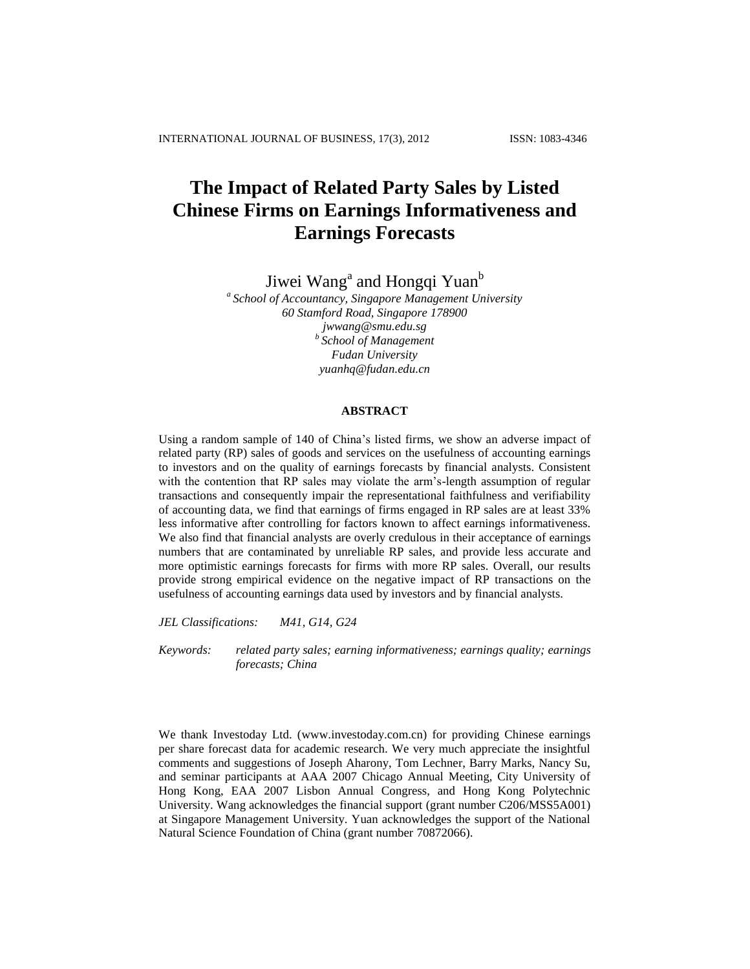# **The Impact of Related Party Sales by Listed Chinese Firms on Earnings Informativeness and Earnings Forecasts**

Jiwei Wang<sup>a</sup> and Hongqi Yuan<sup>b</sup>

*a School of Accountancy, Singapore Management University 60 Stamford Road, Singapore 178900 [jwwang@smu.edu.sg](mailto:jwwang@smu.edu.sg) b School of Management Fudan University yuanhq@fudan.edu.cn*

#### **ABSTRACT**

Using a random sample of 140 of China's listed firms, we show an adverse impact of related party (RP) sales of goods and services on the usefulness of accounting earnings to investors and on the quality of earnings forecasts by financial analysts. Consistent with the contention that RP sales may violate the arm's-length assumption of regular transactions and consequently impair the representational faithfulness and verifiability of accounting data, we find that earnings of firms engaged in RP sales are at least 33% less informative after controlling for factors known to affect earnings informativeness. We also find that financial analysts are overly credulous in their acceptance of earnings numbers that are contaminated by unreliable RP sales, and provide less accurate and more optimistic earnings forecasts for firms with more RP sales. Overall, our results provide strong empirical evidence on the negative impact of RP transactions on the usefulness of accounting earnings data used by investors and by financial analysts.

*JEL Classifications: M41, G14, G24*

*Keywords: related party sales; earning informativeness; earnings quality; earnings forecasts; China*

We thank Investoday Ltd. [\(www.investoday.com.cn\)](http://www.investoday.com.cn/) for providing Chinese earnings per share forecast data for academic research. We very much appreciate the insightful comments and suggestions of Joseph Aharony, Tom Lechner, Barry Marks, Nancy Su, and seminar participants at AAA 2007 Chicago Annual Meeting, City University of Hong Kong, EAA 2007 Lisbon Annual Congress, and Hong Kong Polytechnic University. Wang acknowledges the financial support (grant number C206/MSS5A001) at Singapore Management University. Yuan acknowledges the support of the National Natural Science Foundation of China (grant number 70872066).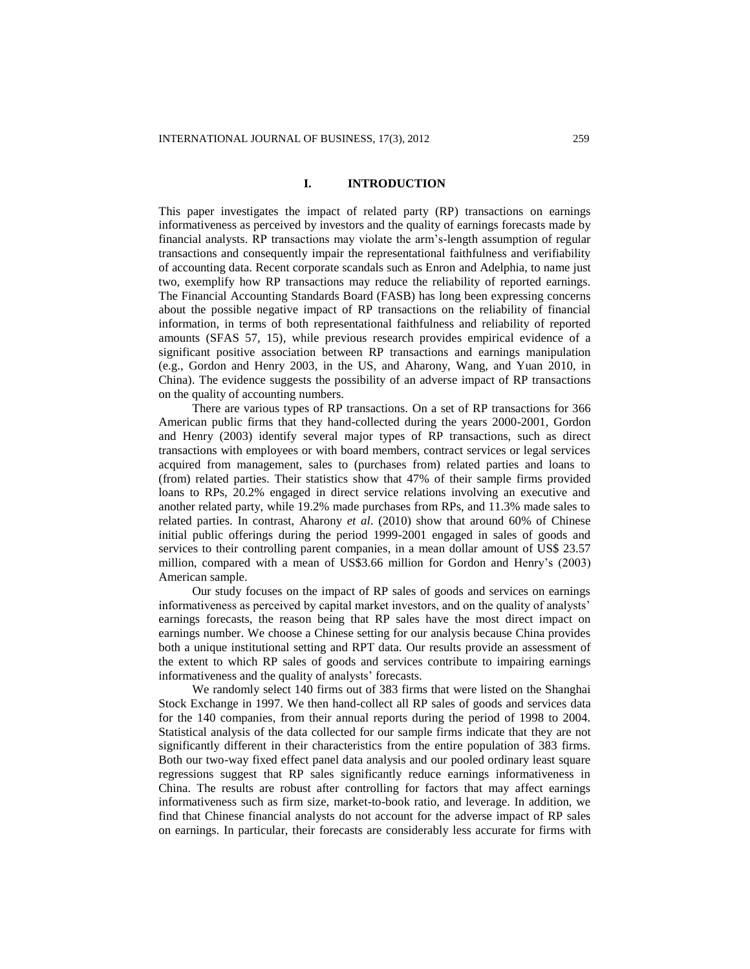### **I. INTRODUCTION**

This paper investigates the impact of related party (RP) transactions on earnings informativeness as perceived by investors and the quality of earnings forecasts made by financial analysts. RP transactions may violate the arm's-length assumption of regular transactions and consequently impair the representational faithfulness and verifiability of accounting data. Recent corporate scandals such as Enron and Adelphia, to name just two, exemplify how RP transactions may reduce the reliability of reported earnings. The Financial Accounting Standards Board (FASB) has long been expressing concerns about the possible negative impact of RP transactions on the reliability of financial information, in terms of both representational faithfulness and reliability of reported amounts (SFAS 57, 15), while previous research provides empirical evidence of a significant positive association between RP transactions and earnings manipulation (e.g., Gordon and Henry 2003, in the US, and Aharony, Wang, and Yuan 2010, in China). The evidence suggests the possibility of an adverse impact of RP transactions on the quality of accounting numbers.

There are various types of RP transactions. On a set of RP transactions for 366 American public firms that they hand-collected during the years 2000-2001, Gordon and Henry (2003) identify several major types of RP transactions, such as direct transactions with employees or with board members, contract services or legal services acquired from management, sales to (purchases from) related parties and loans to (from) related parties. Their statistics show that 47% of their sample firms provided loans to RPs, 20.2% engaged in direct service relations involving an executive and another related party, while 19.2% made purchases from RPs, and 11.3% made sales to related parties. In contrast, Aharony *et al*. (2010) show that around 60% of Chinese initial public offerings during the period 1999-2001 engaged in sales of goods and services to their controlling parent companies, in a mean dollar amount of US\$ 23.57 million, compared with a mean of US\$3.66 million for Gordon and Henry's (2003) American sample.

Our study focuses on the impact of RP sales of goods and services on earnings informativeness as perceived by capital market investors, and on the quality of analysts' earnings forecasts, the reason being that RP sales have the most direct impact on earnings number. We choose a Chinese setting for our analysis because China provides both a unique institutional setting and RPT data. Our results provide an assessment of the extent to which RP sales of goods and services contribute to impairing earnings informativeness and the quality of analysts' forecasts.

We randomly select 140 firms out of 383 firms that were listed on the Shanghai Stock Exchange in 1997. We then hand-collect all RP sales of goods and services data for the 140 companies, from their annual reports during the period of 1998 to 2004. Statistical analysis of the data collected for our sample firms indicate that they are not significantly different in their characteristics from the entire population of 383 firms. Both our two-way fixed effect panel data analysis and our pooled ordinary least square regressions suggest that RP sales significantly reduce earnings informativeness in China. The results are robust after controlling for factors that may affect earnings informativeness such as firm size, market-to-book ratio, and leverage. In addition, we find that Chinese financial analysts do not account for the adverse impact of RP sales on earnings. In particular, their forecasts are considerably less accurate for firms with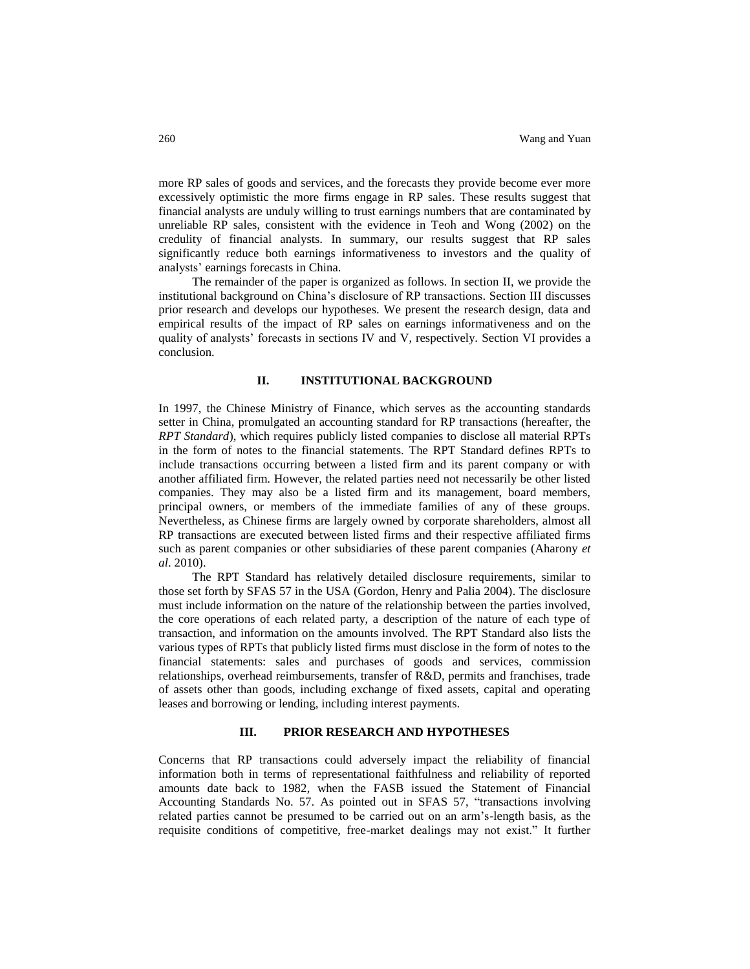more RP sales of goods and services, and the forecasts they provide become ever more excessively optimistic the more firms engage in RP sales. These results suggest that financial analysts are unduly willing to trust earnings numbers that are contaminated by unreliable RP sales, consistent with the evidence in Teoh and Wong (2002) on the credulity of financial analysts. In summary, our results suggest that RP sales significantly reduce both earnings informativeness to investors and the quality of analysts' earnings forecasts in China.

The remainder of the paper is organized as follows. In section II, we provide the institutional background on China's disclosure of RP transactions. Section III discusses prior research and develops our hypotheses. We present the research design, data and empirical results of the impact of RP sales on earnings informativeness and on the quality of analysts' forecasts in sections IV and V, respectively. Section VI provides a conclusion.

# **II. INSTITUTIONAL BACKGROUND**

In 1997, the Chinese Ministry of Finance, which serves as the accounting standards setter in China, promulgated an accounting standard for RP transactions (hereafter, the *RPT Standard*), which requires publicly listed companies to disclose all material RPTs in the form of notes to the financial statements. The RPT Standard defines RPTs to include transactions occurring between a listed firm and its parent company or with another affiliated firm. However, the related parties need not necessarily be other listed companies. They may also be a listed firm and its management, board members, principal owners, or members of the immediate families of any of these groups. Nevertheless, as Chinese firms are largely owned by corporate shareholders, almost all RP transactions are executed between listed firms and their respective affiliated firms such as parent companies or other subsidiaries of these parent companies (Aharony *et al*. 2010).

The RPT Standard has relatively detailed disclosure requirements, similar to those set forth by SFAS 57 in the USA (Gordon, Henry and Palia 2004). The disclosure must include information on the nature of the relationship between the parties involved, the core operations of each related party, a description of the nature of each type of transaction, and information on the amounts involved. The RPT Standard also lists the various types of RPTs that publicly listed firms must disclose in the form of notes to the financial statements: sales and purchases of goods and services, commission relationships, overhead reimbursements, transfer of R&D, permits and franchises, trade of assets other than goods, including exchange of fixed assets, capital and operating leases and borrowing or lending, including interest payments.

# **III. PRIOR RESEARCH AND HYPOTHESES**

Concerns that RP transactions could adversely impact the reliability of financial information both in terms of representational faithfulness and reliability of reported amounts date back to 1982, when the FASB issued the Statement of Financial Accounting Standards No. 57. As pointed out in SFAS 57, "transactions involving related parties cannot be presumed to be carried out on an arm's-length basis, as the requisite conditions of competitive, free-market dealings may not exist." It further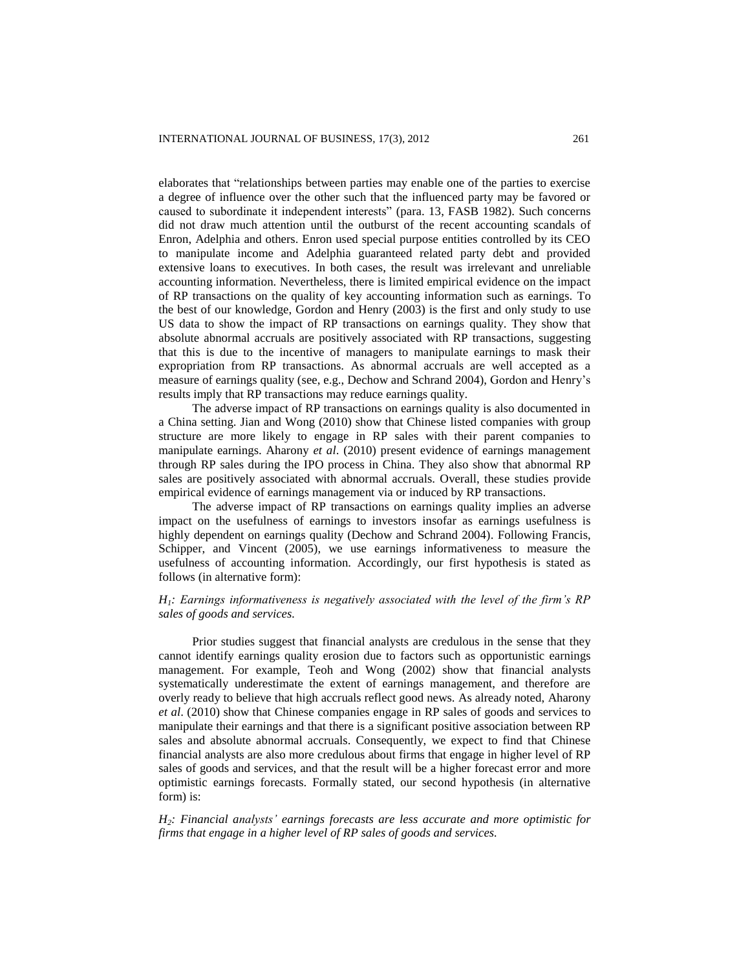elaborates that "relationships between parties may enable one of the parties to exercise a degree of influence over the other such that the influenced party may be favored or caused to subordinate it independent interests" (para. 13, FASB 1982). Such concerns did not draw much attention until the outburst of the recent accounting scandals of Enron, Adelphia and others. Enron used special purpose entities controlled by its CEO to manipulate income and Adelphia guaranteed related party debt and provided extensive loans to executives. In both cases, the result was irrelevant and unreliable accounting information. Nevertheless, there is limited empirical evidence on the impact of RP transactions on the quality of key accounting information such as earnings. To the best of our knowledge, Gordon and Henry (2003) is the first and only study to use US data to show the impact of RP transactions on earnings quality. They show that absolute abnormal accruals are positively associated with RP transactions, suggesting that this is due to the incentive of managers to manipulate earnings to mask their expropriation from RP transactions. As abnormal accruals are well accepted as a measure of earnings quality (see, e.g., Dechow and Schrand 2004), Gordon and Henry's results imply that RP transactions may reduce earnings quality.

The adverse impact of RP transactions on earnings quality is also documented in a China setting. Jian and Wong (2010) show that Chinese listed companies with group structure are more likely to engage in RP sales with their parent companies to manipulate earnings. Aharony *et al*. (2010) present evidence of earnings management through RP sales during the IPO process in China. They also show that abnormal RP sales are positively associated with abnormal accruals. Overall, these studies provide empirical evidence of earnings management via or induced by RP transactions.

The adverse impact of RP transactions on earnings quality implies an adverse impact on the usefulness of earnings to investors insofar as earnings usefulness is highly dependent on earnings quality (Dechow and Schrand 2004). Following Francis, Schipper, and Vincent (2005), we use earnings informativeness to measure the usefulness of accounting information. Accordingly, our first hypothesis is stated as follows (in alternative form):

# *H1: Earnings informativeness is negatively associated with the level of the firm's RP sales of goods and services.*

Prior studies suggest that financial analysts are credulous in the sense that they cannot identify earnings quality erosion due to factors such as opportunistic earnings management. For example, Teoh and Wong (2002) show that financial analysts systematically underestimate the extent of earnings management, and therefore are overly ready to believe that high accruals reflect good news. As already noted, Aharony *et al*. (2010) show that Chinese companies engage in RP sales of goods and services to manipulate their earnings and that there is a significant positive association between RP sales and absolute abnormal accruals. Consequently, we expect to find that Chinese financial analysts are also more credulous about firms that engage in higher level of RP sales of goods and services, and that the result will be a higher forecast error and more optimistic earnings forecasts. Formally stated, our second hypothesis (in alternative form) is:

*H2: Financial analysts' earnings forecasts are less accurate and more optimistic for firms that engage in a higher level of RP sales of goods and services.*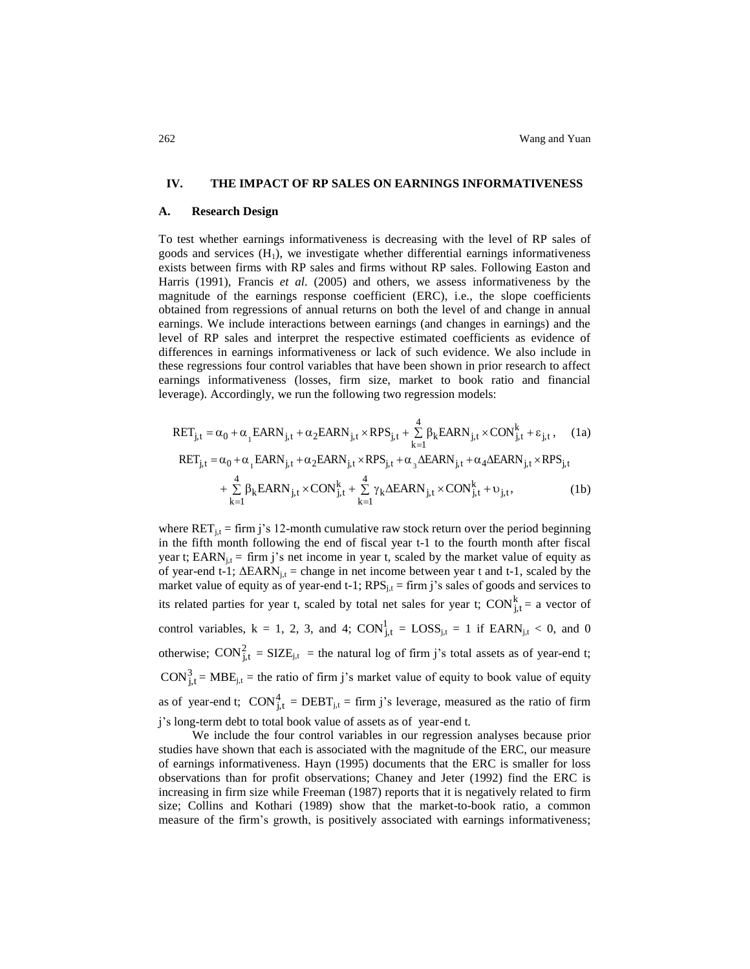#### **IV. THE IMPACT OF RP SALES ON EARNINGS INFORMATIVENESS**

#### **A. Research Design**

To test whether earnings informativeness is decreasing with the level of RP sales of goods and services  $(H_1)$ , we investigate whether differential earnings informativeness exists between firms with RP sales and firms without RP sales. Following Easton and Harris (1991), Francis *et al*. (2005) and others, we assess informativeness by the magnitude of the earnings response coefficient (ERC), i.e., the slope coefficients obtained from regressions of annual returns on both the level of and change in annual earnings. We include interactions between earnings (and changes in earnings) and the level of RP sales and interpret the respective estimated coefficients as evidence of differences in earnings informativeness or lack of such evidence. We also include in these regressions four control variables that have been shown in prior research to affect earnings informativeness (losses, firm size, market to book ratio and financial leverage). Accordingly, we run the following two regression models:

$$
RET_{j,t} = \alpha_0 + \alpha_1 EARN_{j,t} + \alpha_2 EARN_{j,t} \times RPS_{j,t} + \sum_{k=1}^4 \beta_k EARN_{j,t} \times CON_{j,t}^k + \varepsilon_{j,t}, \quad (1a)
$$
  
 
$$
RET_{j,t} = \alpha_0 + \alpha_1 EARN_{j,t} + \alpha_2 EARN_{j,t} \times RPS_{j,t} + \alpha_3 \Delta EARN_{j,t} + \alpha_4 \Delta EARN_{j,t} \times RPS_{j,t} + \sum_{k=1}^4 \beta_k EARN_{j,t} \times CON_{j,t}^k + \sum_{k=1}^4 \gamma_k \Delta EARN_{j,t} \times CON_{j,t}^k + \upsilon_{j,t}, \quad (1b)
$$

where  $\text{RET}_{it}$  = firm j's 12-month cumulative raw stock return over the period beginning in the fifth month following the end of fiscal year t-1 to the fourth month after fiscal year t; EARN<sub>i,t</sub> = firm j's net income in year t, scaled by the market value of equity as of year-end t-1;  $\Delta$ EARN<sub>j,t</sub> = change in net income between year t and t-1, scaled by the market value of equity as of year-end t-1;  $RPS_{j,t}$  = firm j's sales of goods and services to its related parties for year t, scaled by total net sales for year t;  $\text{CON}_{j,t}^k =$  a vector of control variables,  $k = 1, 2, 3$ , and 4;  $CON_{j,t}^1 = LOSS_{j,t} = 1$  if  $EARN_{j,t} < 0$ , and 0 otherwise;  $\text{CON}_{j,t}^2 = \text{SIZE}_{j,t}$  = the natural log of firm j's total assets as of year-end t;  $\text{CON}_{j,t}^3$  = MBE<sub>j,t</sub> = the ratio of firm j's market value of equity to book value of equity as of year-end t;  $CON_{j,t}^4 = DEBT_{j,t} = firm j's leverage, measured as the ratio of firm$ j's long-term debt to total book value of assets as of year-end t*.*

We include the four control variables in our regression analyses because prior studies have shown that each is associated with the magnitude of the ERC, our measure of earnings informativeness. Hayn (1995) documents that the ERC is smaller for loss observations than for profit observations; Chaney and Jeter (1992) find the ERC is increasing in firm size while Freeman (1987) reports that it is negatively related to firm size; Collins and Kothari (1989) show that the market-to-book ratio, a common measure of the firm's growth, is positively associated with earnings informativeness;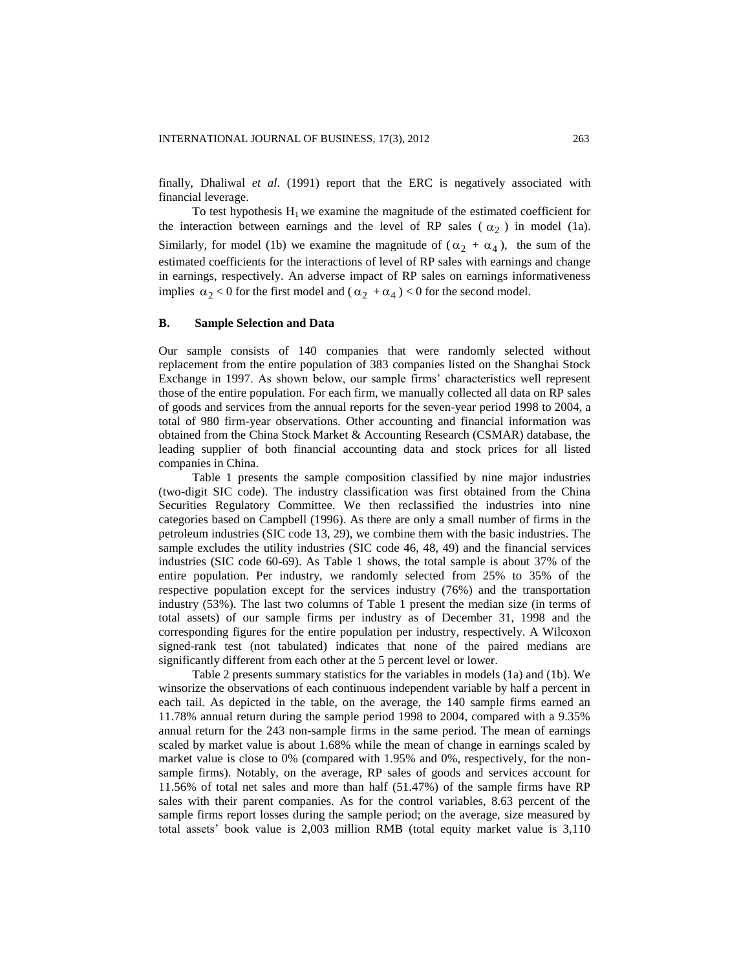finally, Dhaliwal *et al*. (1991) report that the ERC is negatively associated with financial leverage.

To test hypothesis  $H_1$  we examine the magnitude of the estimated coefficient for the interaction between earnings and the level of RP sales  $(\alpha_2)$  in model (1a). Similarly, for model (1b) we examine the magnitude of  $(\alpha_2 + \alpha_4)$ , the sum of the estimated coefficients for the interactions of level of RP sales with earnings and change in earnings, respectively. An adverse impact of RP sales on earnings informativeness implies  $\alpha_2 < 0$  for the first model and  $(\alpha_2 + \alpha_4) < 0$  for the second model.

#### **B. Sample Selection and Data**

Our sample consists of 140 companies that were randomly selected without replacement from the entire population of 383 companies listed on the Shanghai Stock Exchange in 1997. As shown below, our sample firms' characteristics well represent those of the entire population. For each firm, we manually collected all data on RP sales of goods and services from the annual reports for the seven-year period 1998 to 2004, a total of 980 firm-year observations. Other accounting and financial information was obtained from the China Stock Market & Accounting Research (CSMAR) database, the leading supplier of both financial accounting data and stock prices for all listed companies in China.

Table 1 presents the sample composition classified by nine major industries (two-digit SIC code). The industry classification was first obtained from the China Securities Regulatory Committee. We then reclassified the industries into nine categories based on Campbell (1996). As there are only a small number of firms in the petroleum industries (SIC code 13, 29), we combine them with the basic industries. The sample excludes the utility industries (SIC code 46, 48, 49) and the financial services industries (SIC code 60-69). As Table 1 shows, the total sample is about 37% of the entire population. Per industry, we randomly selected from 25% to 35% of the respective population except for the services industry (76%) and the transportation industry (53%). The last two columns of Table 1 present the median size (in terms of total assets) of our sample firms per industry as of December 31, 1998 and the corresponding figures for the entire population per industry, respectively. A Wilcoxon signed-rank test (not tabulated) indicates that none of the paired medians are significantly different from each other at the 5 percent level or lower.

Table 2 presents summary statistics for the variables in models (1a) and (1b). We winsorize the observations of each continuous independent variable by half a percent in each tail. As depicted in the table, on the average, the 140 sample firms earned an 11.78% annual return during the sample period 1998 to 2004, compared with a 9.35% annual return for the 243 non-sample firms in the same period. The mean of earnings scaled by market value is about 1.68% while the mean of change in earnings scaled by market value is close to 0% (compared with 1.95% and 0%, respectively, for the nonsample firms). Notably, on the average, RP sales of goods and services account for 11.56% of total net sales and more than half (51.47%) of the sample firms have RP sales with their parent companies. As for the control variables, 8.63 percent of the sample firms report losses during the sample period; on the average, size measured by total assets' book value is 2,003 million RMB (total equity market value is 3,110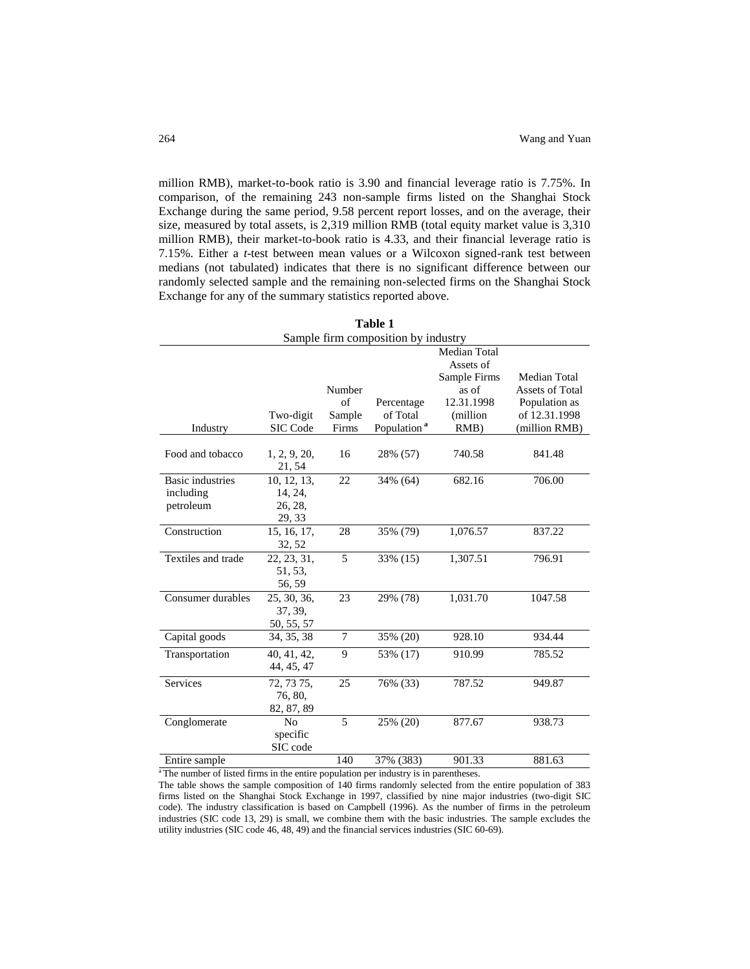million RMB), market-to-book ratio is 3.90 and financial leverage ratio is 7.75%. In comparison, of the remaining 243 non-sample firms listed on the Shanghai Stock Exchange during the same period, 9.58 percent report losses, and on the average, their size, measured by total assets, is 2,319 million RMB (total equity market value is 3,310 million RMB), their market-to-book ratio is 4.33, and their financial leverage ratio is 7.15%. Either a *t*-test between mean values or a Wilcoxon signed-rank test between medians (not tabulated) indicates that there is no significant difference between our randomly selected sample and the remaining non-selected firms on the Shanghai Stock Exchange for any of the summary statistics reported above.

| Table 1                 |                                     |                 |                         |                     |                                 |  |
|-------------------------|-------------------------------------|-----------------|-------------------------|---------------------|---------------------------------|--|
|                         | Sample firm composition by industry |                 |                         |                     |                                 |  |
|                         |                                     |                 |                         | <b>Median Total</b> |                                 |  |
|                         |                                     |                 |                         | Assets of           |                                 |  |
|                         |                                     |                 |                         | Sample Firms        | Median Total<br>Assets of Total |  |
|                         |                                     | Number<br>of    |                         | as of<br>12.31.1998 |                                 |  |
|                         | Two-digit                           |                 | Percentage<br>of Total  | (million            | Population as<br>of 12.31.1998  |  |
|                         | SIC Code                            | Sample<br>Firms | Population <sup>a</sup> | $RMB$ )             |                                 |  |
| Industry                |                                     |                 |                         |                     | (million RMB)                   |  |
| Food and tobacco        | 1, 2, 9, 20,<br>21, 54              | 16              | 28% (57)                | 740.58              | 841.48                          |  |
| <b>Basic industries</b> | 10, 12, 13,                         | 22              | 34% (64)                | 682.16              | 706.00                          |  |
| including               | 14, 24,                             |                 |                         |                     |                                 |  |
| petroleum               | 26, 28,                             |                 |                         |                     |                                 |  |
|                         | 29, 33                              |                 |                         |                     |                                 |  |
| Construction            | 15, 16, 17,                         | 28              | 35% (79)                | 1,076.57            | 837.22                          |  |
|                         | 32, 52                              |                 |                         |                     |                                 |  |
| Textiles and trade      | 22, 23, 31,                         | 5               | 33% (15)                | 1,307.51            | 796.91                          |  |
|                         | 51, 53,                             |                 |                         |                     |                                 |  |
|                         | 56, 59                              |                 |                         |                     |                                 |  |
| Consumer durables       | 25, 30, 36,                         | 23              | 29% (78)                | 1,031.70            | 1047.58                         |  |
|                         | 37, 39,                             |                 |                         |                     |                                 |  |
|                         | 50, 55, 57                          |                 |                         |                     |                                 |  |
| Capital goods           | 34, 35, 38                          | 7               | 35% (20)                | 928.10              | 934.44                          |  |
| Transportation          | 40, 41, 42,                         | 9               | 53% (17)                | 910.99              | 785.52                          |  |
|                         | 44, 45, 47                          |                 |                         |                     |                                 |  |
| <b>Services</b>         | 72, 73 75,                          | 25              | 76% (33)                | 787.52              | 949.87                          |  |
|                         | 76, 80,                             |                 |                         |                     |                                 |  |
|                         | 82, 87, 89                          |                 |                         |                     |                                 |  |
| Conglomerate            | N <sub>0</sub>                      | 5               | 25% (20)                | 877.67              | 938.73                          |  |
|                         | specific                            |                 |                         |                     |                                 |  |
|                         | SIC code                            |                 |                         |                     |                                 |  |
| Entire sample           |                                     | 140             | 37% (383)               | 901.33              | 881.63                          |  |

<sup>a</sup>The number of listed firms in the entire population per industry is in parentheses.

The table shows the sample composition of 140 firms randomly selected from the entire population of 383 firms listed on the Shanghai Stock Exchange in 1997, classified by nine major industries (two-digit SIC code). The industry classification is based on Campbell (1996). As the number of firms in the petroleum industries (SIC code 13, 29) is small, we combine them with the basic industries. The sample excludes the utility industries (SIC code 46, 48, 49) and the financial services industries (SIC 60-69).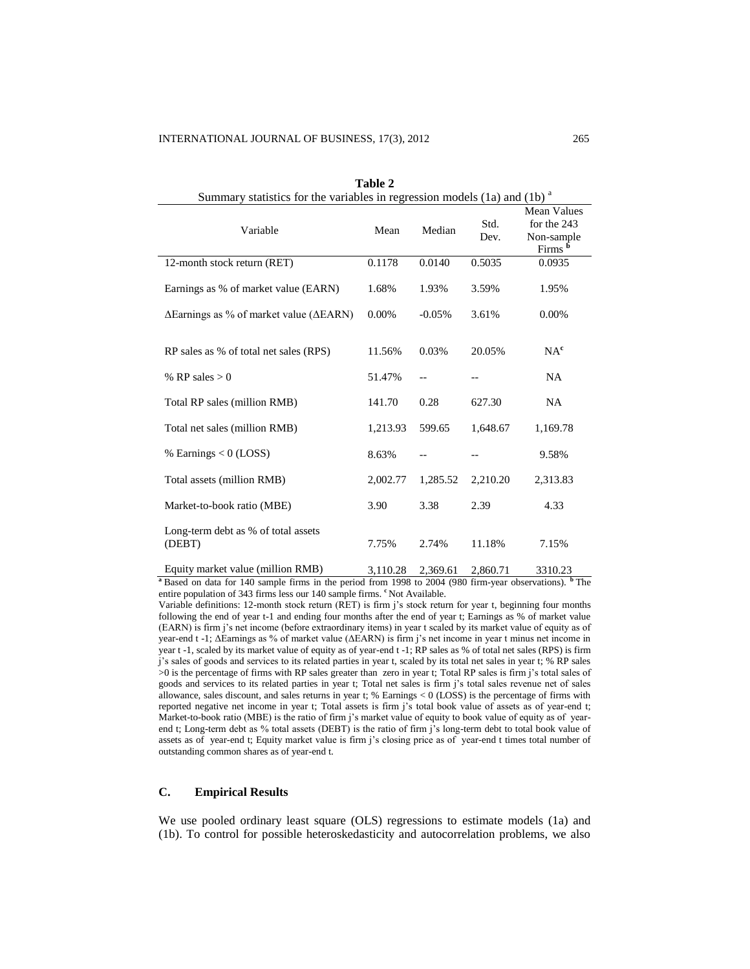| Summary statistics for the variables in regression models $(1a)$ and $(1b)$ <sup>a</sup> |          |          |              |                                                                |
|------------------------------------------------------------------------------------------|----------|----------|--------------|----------------------------------------------------------------|
| Variable                                                                                 | Mean     | Median   | Std.<br>Dev. | Mean Values<br>for the 243<br>Non-sample<br>Firms <sup>b</sup> |
| 12-month stock return (RET)                                                              | 0.1178   | 0.0140   | 0.5035       | 0.0935                                                         |
| Earnings as % of market value (EARN)                                                     | 1.68%    | 1.93%    | 3.59%        | 1.95%                                                          |
| $\Delta$ Earnings as % of market value ( $\Delta$ EARN)                                  | 0.00%    | $-0.05%$ | 3.61%        | 0.00%                                                          |
|                                                                                          |          |          |              |                                                                |
| RP sales as % of total net sales (RPS)                                                   | 11.56%   | 0.03%    | 20.05%       | NA <sup>c</sup>                                                |
| % RP sales $> 0$                                                                         | 51.47%   | --       | --           | <b>NA</b>                                                      |
| Total RP sales (million RMB)                                                             | 141.70   | 0.28     | 627.30       | <b>NA</b>                                                      |
| Total net sales (million RMB)                                                            | 1,213.93 | 599.65   | 1,648.67     | 1,169.78                                                       |
| % Earnings $< 0$ (LOSS)                                                                  | 8.63%    |          |              | 9.58%                                                          |
| Total assets (million RMB)                                                               | 2,002.77 | 1,285.52 | 2,210.20     | 2,313.83                                                       |
| Market-to-book ratio (MBE)                                                               | 3.90     | 3.38     | 2.39         | 4.33                                                           |
| Long-term debt as % of total assets<br>(DEBT)                                            | 7.75%    | 2.74%    | 11.18%       | 7.15%                                                          |
| Equity market value (million RMB)                                                        | 3,110.28 | 2,369.61 | 2,860.71     | 3310.23                                                        |

|  | Table 2 |  |
|--|---------|--|
|  |         |  |

**<sup>a</sup>**Based on data for 140 sample firms in the period from 1998 to 2004 (980 firm-year observations). **<sup>b</sup>** The entire population of 343 firms less our 140 sample firms. <sup>c</sup>Not Available.

Variable definitions: 12-month stock return (RET) is firm j's stock return for year t, beginning four months following the end of year t-1 and ending four months after the end of year t; Earnings as % of market value (EARN) is firm j's net income (before extraordinary items) in year t scaled by its market value of equity as of year-end t -1; ΔEarnings as % of market value (ΔEARN) is firm j's net income in year t minus net income in year t -1, scaled by its market value of equity as of year-end t -1; RP sales as % of total net sales (RPS) is firm j's sales of goods and services to its related parties in year t, scaled by its total net sales in year t; % RP sales >0 is the percentage of firms with RP sales greater than zero in year t; Total RP sales is firm j's total sales of goods and services to its related parties in year t; Total net sales is firm j's total sales revenue net of sales allowance, sales discount, and sales returns in year t; % Earnings < 0 (LOSS) is the percentage of firms with reported negative net income in year t; Total assets is firm j's total book value of assets as of year-end t; Market-to-book ratio (MBE) is the ratio of firm j's market value of equity to book value of equity as of yearend t; Long-term debt as % total assets (DEBT) is the ratio of firm j's long-term debt to total book value of assets as of year-end t; Equity market value is firm j's closing price as of year-end t times total number of outstanding common shares as of year-end t.

# **C. Empirical Results**

We use pooled ordinary least square (OLS) regressions to estimate models (1a) and (1b). To control for possible heteroskedasticity and autocorrelation problems, we also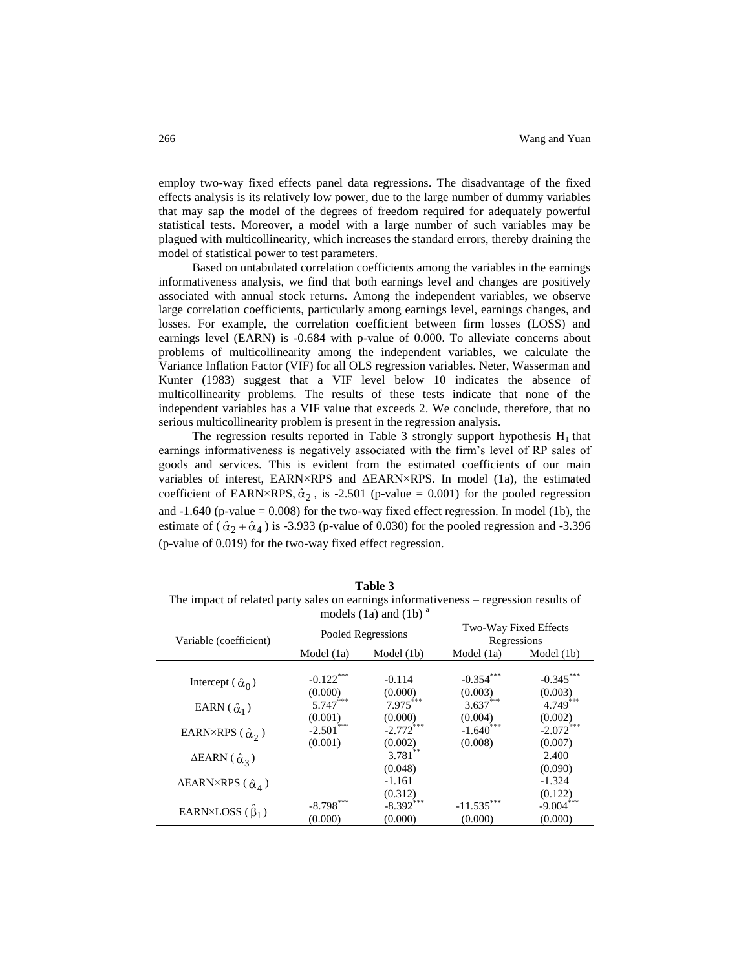employ two-way fixed effects panel data regressions. The disadvantage of the fixed effects analysis is its relatively low power, due to the large number of dummy variables that may sap the model of the degrees of freedom required for adequately powerful statistical tests. Moreover, a model with a large number of such variables may be plagued with multicollinearity, which increases the standard errors, thereby draining the model of statistical power to test parameters.

Based on untabulated correlation coefficients among the variables in the earnings informativeness analysis, we find that both earnings level and changes are positively associated with annual stock returns. Among the independent variables, we observe large correlation coefficients, particularly among earnings level, earnings changes, and losses. For example, the correlation coefficient between firm losses (LOSS) and earnings level (EARN) is -0.684 with p-value of 0.000. To alleviate concerns about problems of multicollinearity among the independent variables, we calculate the Variance Inflation Factor (VIF) for all OLS regression variables. Neter, Wasserman and Kunter (1983) suggest that a VIF level below 10 indicates the absence of multicollinearity problems. The results of these tests indicate that none of the independent variables has a VIF value that exceeds 2. We conclude, therefore, that no serious multicollinearity problem is present in the regression analysis.

The regression results reported in Table 3 strongly support hypothesis  $H_1$  that earnings informativeness is negatively associated with the firm's level of RP sales of goods and services. This is evident from the estimated coefficients of our main variables of interest, EARN×RPS and ΔEARN×RPS. In model (1a), the estimated coefficient of EARN×RPS,  $\hat{\alpha}_2$ , is -2.501 (p-value = 0.001) for the pooled regression and -1.640 (p-value = 0.008) for the two-way fixed effect regression. In model (1b), the estimate of  $(\hat{\alpha}_2 + \hat{\alpha}_4)$  is -3.933 (p-value of 0.030) for the pooled regression and -3.396 (p-value of 0.019) for the two-way fixed effect regression.

**Table 3** The impact of related party sales on earnings informativeness – regression results of models  $(1a)$  and  $(1b)$ <sup>a</sup>

| $1100$ $000$ $(10)$                              |                         |                        |                                      |                        |
|--------------------------------------------------|-------------------------|------------------------|--------------------------------------|------------------------|
| Variable (coefficient)                           | Pooled Regressions      |                        | Two-Way Fixed Effects<br>Regressions |                        |
|                                                  | Model (1a)              | Model $(1b)$           | Model (1a)                           | Model (1b)             |
| Intercept $(\hat{\alpha}_0)$                     | $-0.122$ ***<br>(0.000) | $-0.114$<br>(0.000)    | $-0.354***$<br>(0.003)               | $-0.345***$<br>(0.003) |
| EARN $(\hat{\alpha}_1)$                          | $5.747***$<br>(0.001)   | $7.975***$<br>(0.000)  | $3.637***$<br>(0.004)                | 4.749***<br>(0.002)    |
| EARN×RPS ( $\hat{\alpha}_2$ )                    | $-2.501***$<br>(0.001)  | $-2.772***$<br>(0.002) | $-1.640$ ***<br>(0.008)              | $-2.072***$<br>(0.007) |
| $\triangle EARN(\hat{\alpha}_3)$                 |                         | $3.781$ **<br>(0.048)  |                                      | 2.400<br>(0.090)       |
| $\triangle EARN \times RPS$ ( $\hat{\alpha}_4$ ) |                         | $-1.161$<br>(0.312)    |                                      | $-1.324$<br>(0.122)    |
| EARN×LOSS $(\beta_1)$                            | $-8.798***$<br>(0.000)  | $-8.392***$<br>(0.000) | $-11.535***$<br>(0.000)              | $-9.004***$<br>(0.000) |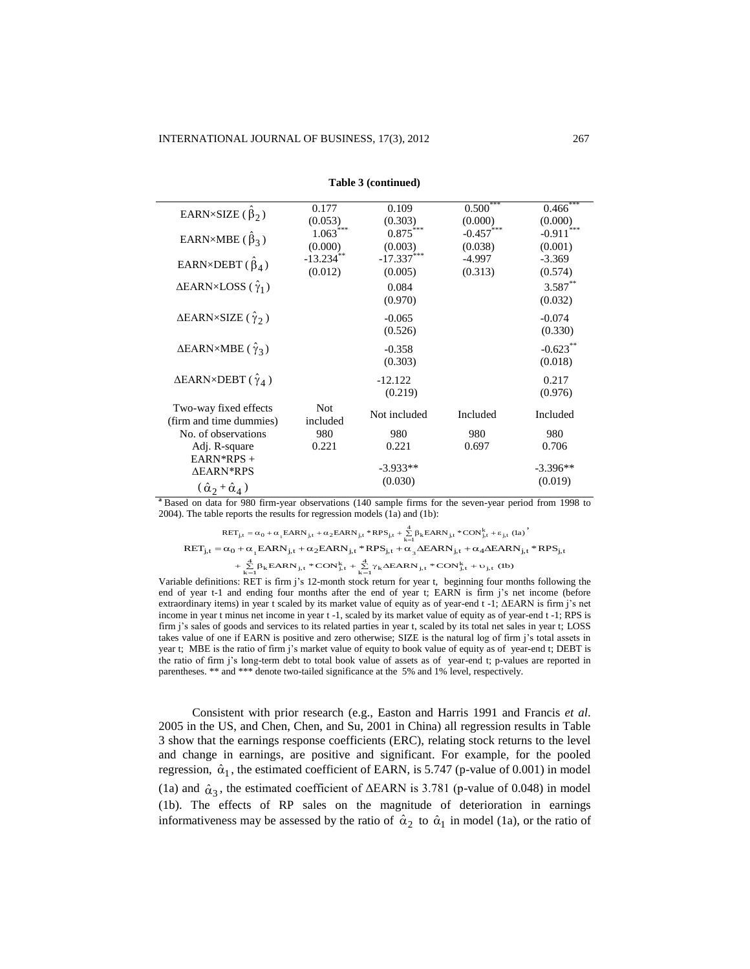| EARN×SIZE $(\beta_2)$                                            | 0.177<br>(0.053)        | 0.109<br>(0.303)        | 0.500<br>(0.000)        | $0.466$ ***<br>(0.000) |
|------------------------------------------------------------------|-------------------------|-------------------------|-------------------------|------------------------|
| EARN×MBE ( $\beta_3$ )                                           | $1.063***$<br>(0.000)   | $0.875***$<br>(0.003)   | $-0.457$ ***<br>(0.038) | $-0.911$<br>(0.001)    |
| EARN×DEBT $(\hat{\beta}_4)$                                      | $-13.234$ **<br>(0.012) | $-17.337***$<br>(0.005) | -4.997<br>(0.313)       | $-3.369$<br>(0.574)    |
| $\triangle EARN \times LOSS (\hat{\gamma}_1)$                    |                         | 0.084<br>(0.970)        |                         | $3.587**$<br>(0.032)   |
| $\triangle EARN \times SIZE$ ( $\hat{\gamma}_2$ )                |                         | $-0.065$<br>(0.526)     |                         | $-0.074$<br>(0.330)    |
| $\Delta$ EARN×MBE ( $\hat{\gamma}_3$ )                           |                         | $-0.358$<br>(0.303)     |                         | $-0.623**$<br>(0.018)  |
| $\triangle EARN \times DEBT$ ( $\hat{\gamma}_4$ )                |                         | $-12.122$<br>(0.219)    |                         | 0.217<br>(0.976)       |
| Two-way fixed effects<br>(firm and time dummies)                 | <b>Not</b><br>included  | Not included            | Included                | Included               |
| No. of observations                                              | 980                     | 980                     | 980                     | 980                    |
| Adj. R-square                                                    | 0.221                   | 0.221                   | 0.697                   | 0.706                  |
| $EARN*RPS +$<br>∆EARN*RPS<br>$(\hat{\alpha}_2 + \hat{\alpha}_4)$ |                         | $-3.933**$<br>(0.030)   |                         | $-3.396**$<br>(0.019)  |

**Table 3 (continued)**

**<sup>a</sup>** Based on data for 980 firm-year observations (140 sample firms for the seven-year period from 1998 to 2004). The table reports the results for regression models  $(1a)$  and  $(1b)$ :

 $\label{eq:reduced_2} \text{RET}_{\text{j,t}} = \alpha_0 + \alpha_{_{1}}\text{EARN}_{\text{j,t}} + \alpha_{2}\text{EARN}_{\text{j,t}} * \text{RPS}_{\text{j,t}} + \sum\limits_{k=1}^{4}\beta_{k}\text{EARN}_{\text{j,t}} * \text{CON}_{\text{j,t}}^{k} + \epsilon_{\text{j,t}} \text{ (la)}$  $RET_{j,t} = \alpha_0 + \alpha_1 EARN_{j,t} + \alpha_2 EARN_{j,t} * RPS_{j,t} + \alpha_3 \Delta EARN_{j,t} + \alpha_4 \Delta EARN_{j,t} * RPS_{j,t}$ , EARN<sub>j,t</sub> \* CON<sup>k</sup><sub>j,t</sub> +  $\sum_{i=1}^{4} \gamma_k \triangle EARN_{j,t}$  \* CON<sup>k</sup><sub>j,t</sub> + v<sub>j,t</sub> (1b)  $\sum_{i=1}^4 \beta_k EARN_{j,t} * CON_{j,t}^k + \sum_{k=1}^4 \gamma_k AEARN_{j,t}$  $+\sum_{k=1}^{4} \beta_k EARN_{j,t} * CON_{j,t}^k + \sum_{k=1}^{4} \gamma_k AERN_{j,t} * CON_{j,t}^k + \upsilon$ 

Variable definitions: RET is firm j's 12-month stock return for year t, beginning four months following the end of year t-1 and ending four months after the end of year t; EARN is firm j's net income (before extraordinary items) in year t scaled by its market value of equity as of year-end t -1; ΔEARN is firm j's net income in year t minus net income in year t -1, scaled by its market value of equity as of year-end t -1; RPS is firm j's sales of goods and services to its related parties in year t, scaled by its total net sales in year t; LOSS takes value of one if EARN is positive and zero otherwise; SIZE is the natural log of firm j's total assets in year t; MBE is the ratio of firm j's market value of equity to book value of equity as of year-end t; DEBT is the ratio of firm j's long-term debt to total book value of assets as of year-end t; p-values are reported in parentheses. \*\* and \*\*\* denote two-tailed significance at the 5% and 1% level, respectively.

Consistent with prior research (e.g., Easton and Harris 1991 and Francis *et al*. 2005 in the US, and Chen, Chen, and Su, 2001 in China) all regression results in Table 3 show that the earnings response coefficients (ERC), relating stock returns to the level and change in earnings, are positive and significant. For example, for the pooled regression,  $\hat{\alpha}_1$ , the estimated coefficient of EARN, is 5.747 (p-value of 0.001) in model (1a) and  $\hat{\alpha}_3$ , the estimated coefficient of  $\Delta$ EARN is 3.781 (p-value of 0.048) in model (1b). The effects of RP sales on the magnitude of deterioration in earnings informativeness may be assessed by the ratio of  $\hat{\alpha}_2$  to  $\hat{\alpha}_1$  in model (1a), or the ratio of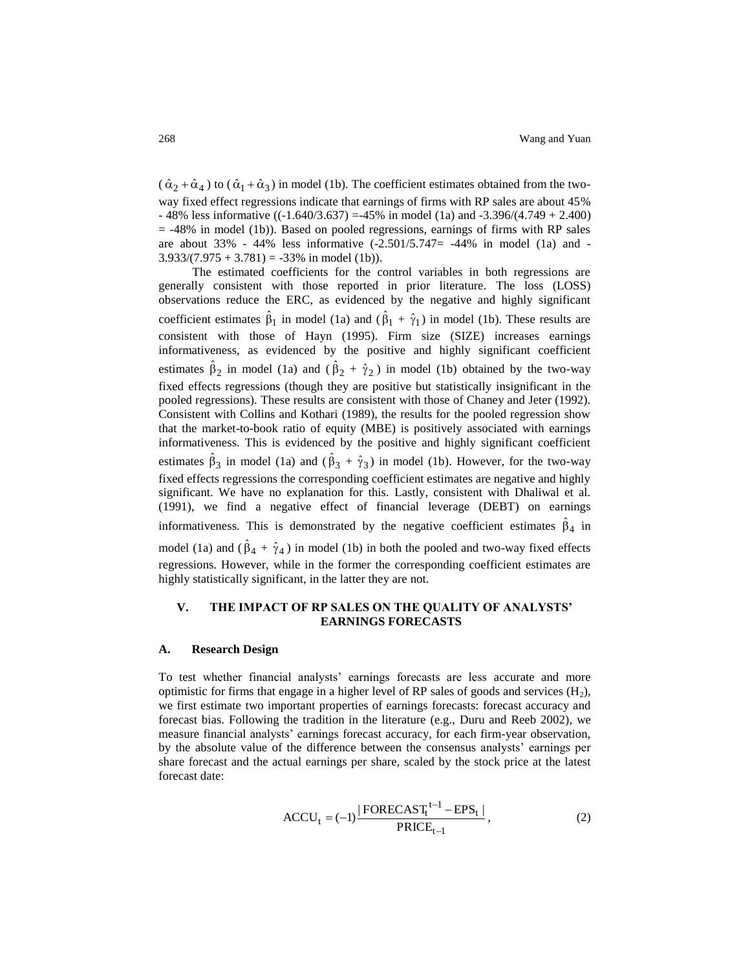$(\hat{\alpha}_2 + \hat{\alpha}_4)$  to  $(\hat{\alpha}_1 + \hat{\alpha}_3)$  in model (1b). The coefficient estimates obtained from the twoway fixed effect regressions indicate that earnings of firms with RP sales are about 45%  $-48\%$  less informative (( $-1.640/3.637$ ) = 45% in model (1a) and  $-3.396/(4.749 + 2.400)$  $=$  -48% in model (1b)). Based on pooled regressions, earnings of firms with RP sales are about 33% - 44% less informative  $(-2.501/5.747= -44%$  in model (1a) and - $3.933/(7.975 + 3.781) = -33\%$  in model (1b)).

The estimated coefficients for the control variables in both regressions are generally consistent with those reported in prior literature. The loss (LOSS) observations reduce the ERC, as evidenced by the negative and highly significant coefficient estimates  $\hat{\beta}_1$  in model (1a) and  $(\hat{\beta}_1 + \hat{\gamma}_1)$  in model (1b). These results are consistent with those of Hayn (1995). Firm size (SIZE) increases earnings informativeness, as evidenced by the positive and highly significant coefficient estimates  $\hat{\beta}_2$  in model (1a) and ( $\hat{\beta}_2 + \hat{\gamma}_2$ ) in model (1b) obtained by the two-way fixed effects regressions (though they are positive but statistically insignificant in the pooled regressions). These results are consistent with those of Chaney and Jeter (1992). Consistent with Collins and Kothari (1989), the results for the pooled regression show that the market-to-book ratio of equity (MBE) is positively associated with earnings informativeness. This is evidenced by the positive and highly significant coefficient estimates  $\hat{\beta}_3$  in model (1a) and ( $\hat{\beta}_3 + \hat{\gamma}_3$ ) in model (1b). However, for the two-way fixed effects regressions the corresponding coefficient estimates are negative and highly significant. We have no explanation for this. Lastly, consistent with Dhaliwal et al. (1991), we find a negative effect of financial leverage (DEBT) on earnings informativeness. This is demonstrated by the negative coefficient estimates  $\hat{\beta}_4$  in model (1a) and  $(\hat{\beta}_4 + \hat{\gamma}_4)$  in model (1b) in both the pooled and two-way fixed effects regressions. However, while in the former the corresponding coefficient estimates are highly statistically significant, in the latter they are not.

# **V. THE IMPACT OF RP SALES ON THE QUALITY OF ANALYSTS' EARNINGS FORECASTS**

#### **A. Research Design**

To test whether financial analysts' earnings forecasts are less accurate and more optimistic for firms that engage in a higher level of RP sales of goods and services  $(H<sub>2</sub>)$ , we first estimate two important properties of earnings forecasts: forecast accuracy and forecast bias. Following the tradition in the literature (e.g., Duru and Reeb 2002), we measure financial analysts' earnings forecast accuracy, for each firm-year observation, by the absolute value of the difference between the consensus analysts' earnings per share forecast and the actual earnings per share, scaled by the stock price at the latest forecast date:

$$
ACCU_t = (-1) \frac{|FORECAST_t^{t-1} - EPS_t|}{PRICE_{t-1}},
$$
\n(2)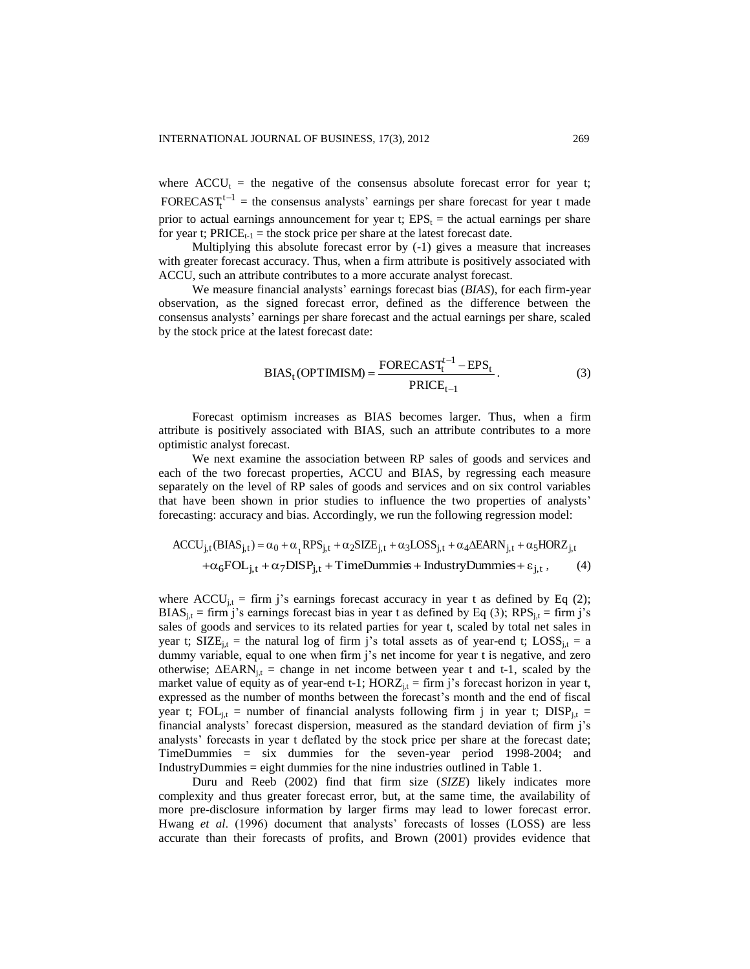where  $ACCU_t$  = the negative of the consensus absolute forecast error for year t; FORECAST<sub>t</sub><sup>t-1</sup> = the consensus analysts' earnings per share forecast for year t made prior to actual earnings announcement for year t;  $EPS<sub>t</sub> =$  the actual earnings per share for year t;  $PRICE_{t-1}$  = the stock price per share at the latest forecast date.

Multiplying this absolute forecast error by (-1) gives a measure that increases with greater forecast accuracy. Thus, when a firm attribute is positively associated with ACCU, such an attribute contributes to a more accurate analyst forecast.

We measure financial analysts' earnings forecast bias (*BIAS*), for each firm-year observation, as the signed forecast error, defined as the difference between the consensus analysts' earnings per share forecast and the actual earnings per share, scaled by the stock price at the latest forecast date:

BIAS<sub>t</sub>(OPTIMISM) = 
$$
\frac{\text{FORECAST}_{t}^{t-1} - \text{EPS}_{t}}{\text{PRICE}_{t-1}}.
$$
 (3)

Forecast optimism increases as BIAS becomes larger. Thus, when a firm attribute is positively associated with BIAS, such an attribute contributes to a more optimistic analyst forecast.

We next examine the association between RP sales of goods and services and each of the two forecast properties, ACCU and BIAS, by regressing each measure separately on the level of RP sales of goods and services and on six control variables that have been shown in prior studies to influence the two properties of analysts' forecasting: accuracy and bias. Accordingly, we run the following regression model:

$$
ACCU_{j,t}(BIAS_{j,t}) = \alpha_0 + \alpha_1 RPS_{j,t} + \alpha_2 SIZE_{j,t} + \alpha_3 LOS_{j,t} + \alpha_4 AEARN_{j,t} + \alpha_5 H ORZ_{j,t} + \alpha_6 FOL_{j,t} + \alpha_7 DISP_{j,t} + TimeDummis + IndustryDummise + \epsilon_{j,t},
$$
 (4)

where  $ACCU_{i,t}$  = firm j's earnings forecast accuracy in year t as defined by Eq (2);  $BIAS_{i,t}$  = firm j's earnings forecast bias in year t as defined by Eq (3); RPS<sub>i,t</sub> = firm j's sales of goods and services to its related parties for year t, scaled by total net sales in year t;  $SIZE_{i,t}$  = the natural log of firm j's total assets as of year-end t;  $LOSS_{i,t}$  = a dummy variable, equal to one when firm j's net income for year t is negative, and zero otherwise;  $\Delta$ EARN<sub>i,t</sub> = change in net income between year t and t-1, scaled by the market value of equity as of year-end t-1;  $HORZ_{i,t} = firm$  j's forecast horizon in year t, expressed as the number of months between the forecast's month and the end of fiscal year t;  $FOL_{i,t}$  = number of financial analysts following firm j in year t;  $DISP_{i,t}$  = financial analysts' forecast dispersion, measured as the standard deviation of firm j's analysts' forecasts in year t deflated by the stock price per share at the forecast date; TimeDummies = six dummies for the seven-year period 1998-2004; and IndustryDummies = eight dummies for the nine industries outlined in Table 1.

Duru and Reeb (2002) find that firm size (*SIZE*) likely indicates more complexity and thus greater forecast error, but, at the same time, the availability of more pre-disclosure information by larger firms may lead to lower forecast error. Hwang *et al*. (1996) document that analysts' forecasts of losses (LOSS) are less accurate than their forecasts of profits, and Brown (2001) provides evidence that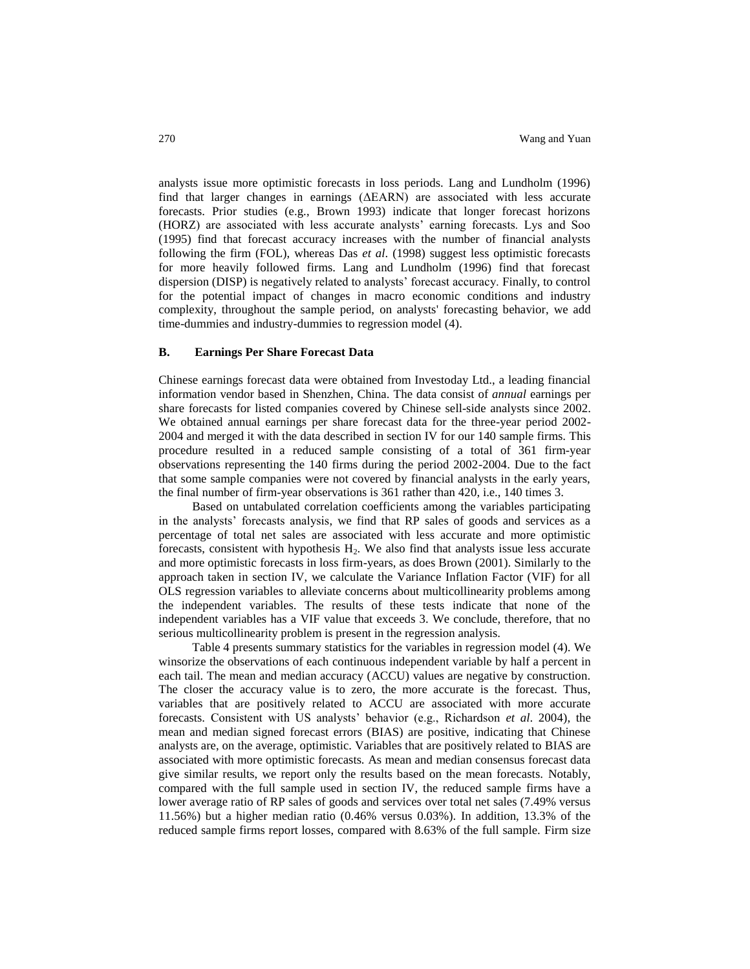analysts issue more optimistic forecasts in loss periods. Lang and Lundholm (1996) find that larger changes in earnings (ΔEARN) are associated with less accurate forecasts. Prior studies (e.g., Brown 1993) indicate that longer forecast horizons (HORZ) are associated with less accurate analysts' earning forecasts. Lys and Soo (1995) find that forecast accuracy increases with the number of financial analysts following the firm (FOL), whereas Das *et al*. (1998) suggest less optimistic forecasts for more heavily followed firms. Lang and Lundholm (1996) find that forecast dispersion (DISP) is negatively related to analysts' forecast accuracy. Finally, to control for the potential impact of changes in macro economic conditions and industry complexity, throughout the sample period, on analysts' forecasting behavior, we add time-dummies and industry-dummies to regression model (4).

#### **B. Earnings Per Share Forecast Data**

Chinese earnings forecast data were obtained from Investoday Ltd., a leading financial information vendor based in Shenzhen, China. The data consist of *annual* earnings per share forecasts for listed companies covered by Chinese sell-side analysts since 2002. We obtained annual earnings per share forecast data for the three-year period 2002- 2004 and merged it with the data described in section IV for our 140 sample firms. This procedure resulted in a reduced sample consisting of a total of 361 firm-year observations representing the 140 firms during the period 2002-2004. Due to the fact that some sample companies were not covered by financial analysts in the early years, the final number of firm-year observations is 361 rather than 420, i.e., 140 times 3.

Based on untabulated correlation coefficients among the variables participating in the analysts' forecasts analysis, we find that RP sales of goods and services as a percentage of total net sales are associated with less accurate and more optimistic forecasts, consistent with hypothesis  $H_2$ . We also find that analysts issue less accurate and more optimistic forecasts in loss firm-years, as does Brown (2001). Similarly to the approach taken in section IV, we calculate the Variance Inflation Factor (VIF) for all OLS regression variables to alleviate concerns about multicollinearity problems among the independent variables. The results of these tests indicate that none of the independent variables has a VIF value that exceeds 3. We conclude, therefore, that no serious multicollinearity problem is present in the regression analysis.

Table 4 presents summary statistics for the variables in regression model (4). We winsorize the observations of each continuous independent variable by half a percent in each tail. The mean and median accuracy (ACCU) values are negative by construction. The closer the accuracy value is to zero, the more accurate is the forecast. Thus, variables that are positively related to ACCU are associated with more accurate forecasts. Consistent with US analysts' behavior (e.g., Richardson *et al*. 2004), the mean and median signed forecast errors (BIAS) are positive, indicating that Chinese analysts are, on the average, optimistic. Variables that are positively related to BIAS are associated with more optimistic forecasts. As mean and median consensus forecast data give similar results, we report only the results based on the mean forecasts. Notably, compared with the full sample used in section IV, the reduced sample firms have a lower average ratio of RP sales of goods and services over total net sales (7.49% versus 11.56%) but a higher median ratio (0.46% versus 0.03%). In addition, 13.3% of the reduced sample firms report losses, compared with 8.63% of the full sample. Firm size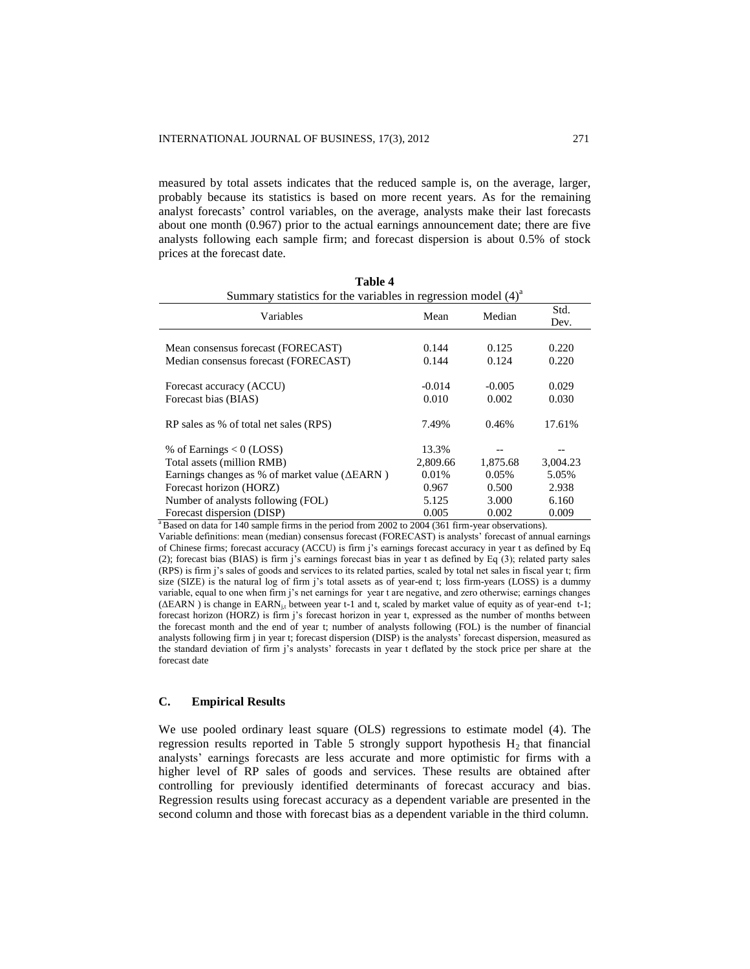measured by total assets indicates that the reduced sample is, on the average, larger, probably because its statistics is based on more recent years. As for the remaining analyst forecasts' control variables, on the average, analysts make their last forecasts about one month (0.967) prior to the actual earnings announcement date; there are five analysts following each sample firm; and forecast dispersion is about 0.5% of stock prices at the forecast date.

**Table 4**

| Summary statistics for the variables in regression model $(4)^{a}$ |          |          |              |  |
|--------------------------------------------------------------------|----------|----------|--------------|--|
| Variables                                                          | Mean     | Median   | Std.<br>Dev. |  |
|                                                                    |          |          |              |  |
| Mean consensus forecast (FORECAST)                                 | 0.144    | 0.125    | 0.220        |  |
| Median consensus forecast (FORECAST)                               | 0.144    | 0.124    | 0.220        |  |
|                                                                    |          |          |              |  |
| Forecast accuracy (ACCU)                                           | $-0.014$ | $-0.005$ | 0.029        |  |
| Forecast bias (BIAS)                                               | 0.010    | 0.002    | 0.030        |  |
|                                                                    |          |          |              |  |
| RP sales as % of total net sales (RPS)                             | 7.49%    | 0.46%    | 17.61%       |  |
| % of Earnings $< 0$ (LOSS)                                         | 13.3%    |          |              |  |
| Total assets (million RMB)                                         | 2,809.66 | 1,875.68 | 3,004.23     |  |
| Earnings changes as % of market value ( $\triangle EARN$ )         | 0.01%    | 0.05%    | 5.05%        |  |
|                                                                    |          |          |              |  |
| Forecast horizon (HORZ)                                            | 0.967    | 0.500    | 2.938        |  |
| Number of analysts following (FOL)                                 | 5.125    | 3.000    | 6.160        |  |
| Forecast dispersion (DISP)                                         | 0.005    | 0.002    | 0.009        |  |

<sup>a</sup>Based on data for 140 sample firms in the period from 2002 to 2004 (361 firm-year observations).

Variable definitions: mean (median) consensus forecast (FORECAST) is analysts' forecast of annual earnings of Chinese firms; forecast accuracy (ACCU) is firm j's earnings forecast accuracy in year t as defined by Eq (2); forecast bias (BIAS) is firm j's earnings forecast bias in year t as defined by Eq (3); related party sales (RPS) is firm j's sales of goods and services to its related parties, scaled by total net sales in fiscal year t; firm size (SIZE) is the natural log of firm j's total assets as of year-end t; loss firm-years (LOSS) is a dummy variable, equal to one when firm j's net earnings for year t are negative, and zero otherwise; earnings changes (ΔEARN) is change in EARN<sub>i,t</sub> between year t-1 and t, scaled by market value of equity as of year-end t-1; forecast horizon (HORZ) is firm j's forecast horizon in year t, expressed as the number of months between the forecast month and the end of year t; number of analysts following (FOL) is the number of financial analysts following firm j in year t; forecast dispersion (DISP) is the analysts' forecast dispersion, measured as the standard deviation of firm j's analysts' forecasts in year t deflated by the stock price per share at the forecast date

# **C. Empirical Results**

We use pooled ordinary least square (OLS) regressions to estimate model (4). The regression results reported in Table 5 strongly support hypothesis  $H_2$  that financial analysts' earnings forecasts are less accurate and more optimistic for firms with a higher level of RP sales of goods and services. These results are obtained after controlling for previously identified determinants of forecast accuracy and bias. Regression results using forecast accuracy as a dependent variable are presented in the second column and those with forecast bias as a dependent variable in the third column.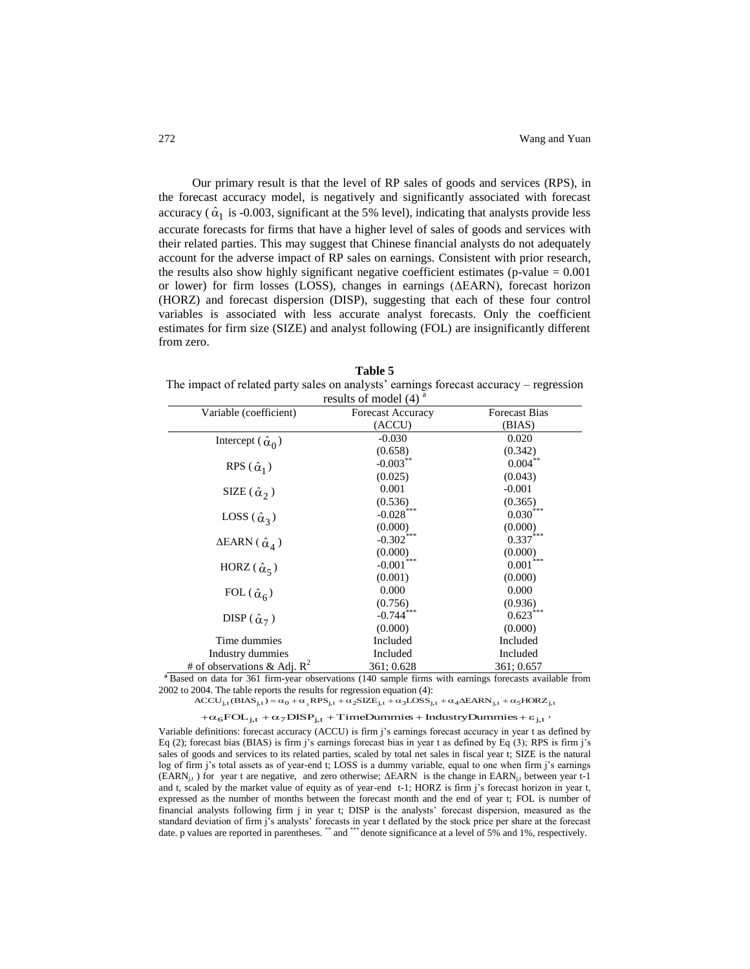Our primary result is that the level of RP sales of goods and services (RPS), in the forecast accuracy model, is negatively and significantly associated with forecast accuracy ( $\hat{\alpha}_1$  is -0.003, significant at the 5% level), indicating that analysts provide less accurate forecasts for firms that have a higher level of sales of goods and services with their related parties. This may suggest that Chinese financial analysts do not adequately account for the adverse impact of RP sales on earnings. Consistent with prior research, the results also show highly significant negative coefficient estimates (p-value  $= 0.001$ ) or lower) for firm losses (LOSS), changes in earnings (ΔEARN), forecast horizon (HORZ) and forecast dispersion (DISP), suggesting that each of these four control variables is associated with less accurate analyst forecasts. Only the coefficient estimates for firm size (SIZE) and analyst following (FOL) are insignificantly different from zero.

**Table 5** The impact of related party sales on analysts' earnings forecast accuracy – regression results of model  $(4)$ <sup>a</sup>

| Variable (coefficient)              | <b>Forecast Accuracy</b> | <b>Forecast Bias</b>   |
|-------------------------------------|--------------------------|------------------------|
|                                     | (ACCU)                   | (BIAS)                 |
| Intercept ( $\hat{\alpha}_0$ )      | $-0.030$                 | 0.020                  |
|                                     | (0.658)                  | (0.342)                |
| RPS $(\hat{\alpha}_1)$              | $-0.003***$              | $0.004***$             |
|                                     | (0.025)                  | (0.043)                |
| SIZE $(\hat{\alpha}_2)$             | 0.001                    | $-0.001$               |
|                                     | (0.536)                  | (0.365)                |
| LOSS $(\hat{\alpha}_3)$             | $-0.028***$              | $0.030***$             |
|                                     | (0.000)                  | (0.000)                |
| $\triangle$ EARN $(\hat{\alpha}_4)$ | $-0.302$ ***             | $0.337***$             |
|                                     | (0.000)                  | (0.000)                |
| HORZ $(\hat{\alpha}_5)$             | $\textbf{-0.001}^{***}$  | $0.001^{\ast\ast\ast}$ |
|                                     | (0.001)                  | (0.000)                |
| FOL $(\hat{\alpha}_6)$              | 0.000                    | 0.000                  |
|                                     | (0.756)                  | (0.936)                |
| DISP $(\hat{\alpha}_7)$             | $-0.744***$              | $0.623***$             |
|                                     | (0.000)                  | (0.000)                |
| Time dummies                        | Included                 | Included               |
| Industry dummies                    | Included                 | Included               |
| # of observations & Adj. $R^2$      | 361; 0.628               | 361; 0.657             |

**<sup>a</sup>**Based on data for 361 firm-year observations (140 sample firms with earnings forecasts available from 2002 to 2004. The table reports the results for regression equation (4):

ACCU<sub>j,t</sub> (BIAS<sub>j,t</sub>) =  $\alpha_0 + \alpha_1 RPS_{j,t} + \alpha_2 SIZE_{j,t} + \alpha_3 LOS_{j,t} + \alpha_4 AEARN_{j,t} + \alpha_5 HORZ_{j,t}$ 

 $+\alpha_6 \text{FOL}_{j,t} + \alpha_7 \text{DISP}_{j,t} + \text{TimeDummis} + \text{IndustryDummise} + \varepsilon_{j,t}$ 

Variable definitions: forecast accuracy (ACCU) is firm j's earnings forecast accuracy in year t as defined by Eq (2); forecast bias (BIAS) is firm j's earnings forecast bias in year t as defined by Eq (3); RPS is firm j's sales of goods and services to its related parties, scaled by total net sales in fiscal year t; SIZE is the natural log of firm j's total assets as of year-end t; LOSS is a dummy variable, equal to one when firm j's earnings (EARN<sub>j,t</sub>) for year t are negative, and zero otherwise; ΔEARN is the change in EARN<sub>j,t</sub> between year t-1 and t, scaled by the market value of equity as of year-end t-1; HORZ is firm j's forecast horizon in year t, expressed as the number of months between the forecast month and the end of year t; FOL is number of financial analysts following firm j in year t; DISP is the analysts' forecast dispersion, measured as the standard deviation of firm j's analysts' forecasts in year t deflated by the stock price per share at the forecast date. p values are reported in parentheses. \*\* and \*\*\* denote significance at a level of 5% and 1%, respectively.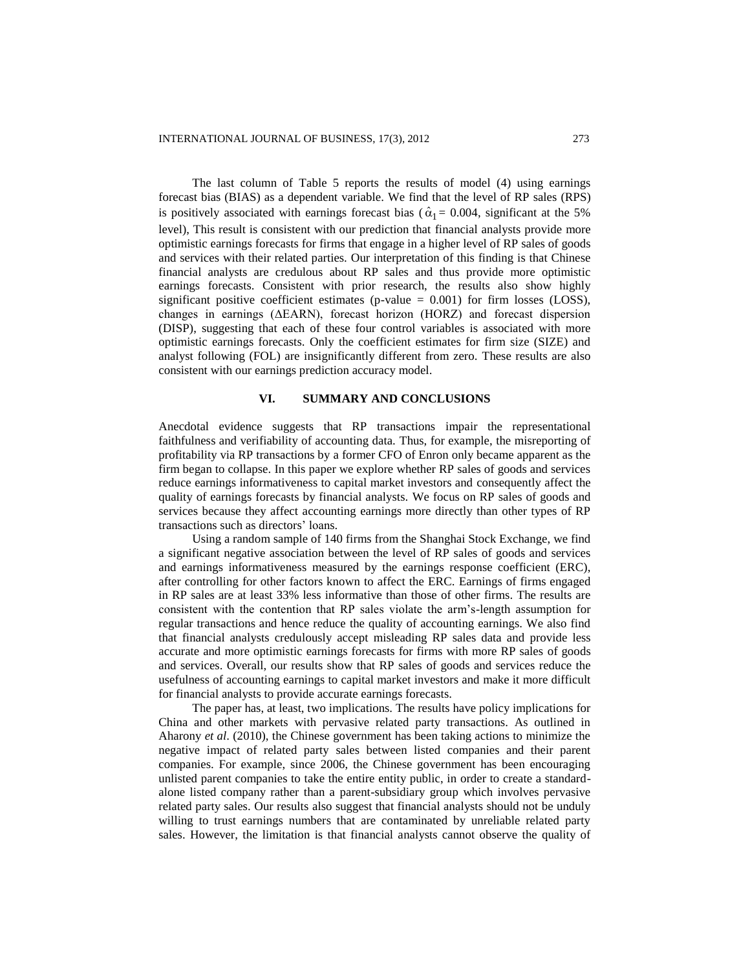The last column of Table 5 reports the results of model (4) using earnings forecast bias (BIAS) as a dependent variable. We find that the level of RP sales (RPS) is positively associated with earnings forecast bias ( $\hat{\alpha}_1 = 0.004$ , significant at the 5% level), This result is consistent with our prediction that financial analysts provide more optimistic earnings forecasts for firms that engage in a higher level of RP sales of goods and services with their related parties. Our interpretation of this finding is that Chinese financial analysts are credulous about RP sales and thus provide more optimistic earnings forecasts. Consistent with prior research, the results also show highly significant positive coefficient estimates (p-value  $= 0.001$ ) for firm losses (LOSS), changes in earnings (ΔEARN), forecast horizon (HORZ) and forecast dispersion (DISP), suggesting that each of these four control variables is associated with more optimistic earnings forecasts. Only the coefficient estimates for firm size (SIZE) and analyst following (FOL) are insignificantly different from zero. These results are also consistent with our earnings prediction accuracy model.

# **VI. SUMMARY AND CONCLUSIONS**

Anecdotal evidence suggests that RP transactions impair the representational faithfulness and verifiability of accounting data. Thus, for example, the misreporting of profitability via RP transactions by a former CFO of Enron only became apparent as the firm began to collapse. In this paper we explore whether RP sales of goods and services reduce earnings informativeness to capital market investors and consequently affect the quality of earnings forecasts by financial analysts. We focus on RP sales of goods and services because they affect accounting earnings more directly than other types of RP transactions such as directors' loans.

Using a random sample of 140 firms from the Shanghai Stock Exchange, we find a significant negative association between the level of RP sales of goods and services and earnings informativeness measured by the earnings response coefficient (ERC), after controlling for other factors known to affect the ERC. Earnings of firms engaged in RP sales are at least 33% less informative than those of other firms. The results are consistent with the contention that RP sales violate the arm's-length assumption for regular transactions and hence reduce the quality of accounting earnings. We also find that financial analysts credulously accept misleading RP sales data and provide less accurate and more optimistic earnings forecasts for firms with more RP sales of goods and services. Overall, our results show that RP sales of goods and services reduce the usefulness of accounting earnings to capital market investors and make it more difficult for financial analysts to provide accurate earnings forecasts.

The paper has, at least, two implications. The results have policy implications for China and other markets with pervasive related party transactions. As outlined in Aharony *et al*. (2010), the Chinese government has been taking actions to minimize the negative impact of related party sales between listed companies and their parent companies. For example, since 2006, the Chinese government has been encouraging unlisted parent companies to take the entire entity public, in order to create a standardalone listed company rather than a parent-subsidiary group which involves pervasive related party sales. Our results also suggest that financial analysts should not be unduly willing to trust earnings numbers that are contaminated by unreliable related party sales. However, the limitation is that financial analysts cannot observe the quality of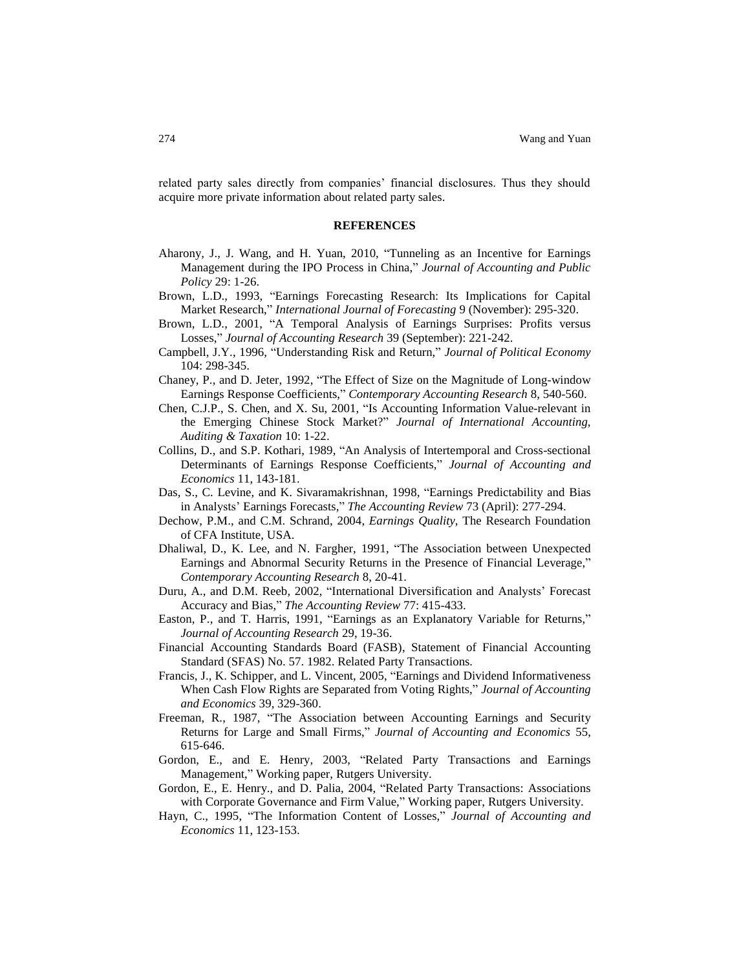related party sales directly from companies' financial disclosures. Thus they should acquire more private information about related party sales.

#### **REFERENCES**

- Aharony, J., J. Wang, and H. Yuan, 2010, "Tunneling as an Incentive for Earnings Management during the IPO Process in China," *Journal of Accounting and Public Policy* 29: 1-26.
- Brown, L.D., 1993, "Earnings Forecasting Research: Its Implications for Capital Market Research," *International Journal of Forecasting* 9 (November): 295-320.
- Brown, L.D., 2001, "A Temporal Analysis of Earnings Surprises: Profits versus Losses," *Journal of Accounting Research* 39 (September): 221-242.
- Campbell, J.Y., 1996, "Understanding Risk and Return," *Journal of Political Economy* 104: 298-345.
- Chaney, P., and D. Jeter, 1992, "The Effect of Size on the Magnitude of Long-window Earnings Response Coefficients," *Contemporary Accounting Research* 8, 540-560.
- Chen, C.J.P., S. Chen, and X. Su, 2001, "Is Accounting Information Value-relevant in the Emerging Chinese Stock Market?" *Journal of International Accounting, Auditing & Taxation* 10: 1-22.
- Collins, D., and S.P. Kothari, 1989, "An Analysis of Intertemporal and Cross-sectional Determinants of Earnings Response Coefficients," *Journal of Accounting and Economics* 11, 143-181.
- Das, S., C. Levine, and K. Sivaramakrishnan, 1998, "Earnings Predictability and Bias in Analysts' Earnings Forecasts," *The Accounting Review* 73 (April): 277-294.
- Dechow, P.M., and C.M. Schrand, 2004, *Earnings Quality*, The Research Foundation of CFA Institute, USA.
- Dhaliwal, D., K. Lee, and N. Fargher, 1991, "The Association between Unexpected Earnings and Abnormal Security Returns in the Presence of Financial Leverage," *Contemporary Accounting Research* 8, 20-41.
- Duru, A., and D.M. Reeb, 2002, "International Diversification and Analysts' Forecast Accuracy and Bias," *The Accounting Review* 77: 415-433.
- Easton, P., and T. Harris, 1991, "Earnings as an Explanatory Variable for Returns," *Journal of Accounting Research* 29, 19-36.
- Financial Accounting Standards Board (FASB), Statement of Financial Accounting Standard (SFAS) No. 57. 1982. Related Party Transactions.
- Francis, J., K. Schipper, and L. Vincent, 2005, "Earnings and Dividend Informativeness When Cash Flow Rights are Separated from Voting Rights," *Journal of Accounting and Economics* 39, 329-360.
- Freeman, R., 1987, "The Association between Accounting Earnings and Security Returns for Large and Small Firms," *Journal of Accounting and Economics* 55, 615-646.
- Gordon, E., and E. Henry, 2003, "Related Party Transactions and Earnings Management," Working paper, Rutgers University.
- Gordon, E., E. Henry., and D. Palia, 2004, "Related Party Transactions: Associations with Corporate Governance and Firm Value," Working paper, Rutgers University.
- Hayn, C., 1995, "The Information Content of Losses," *Journal of Accounting and Economics* 11, 123-153.